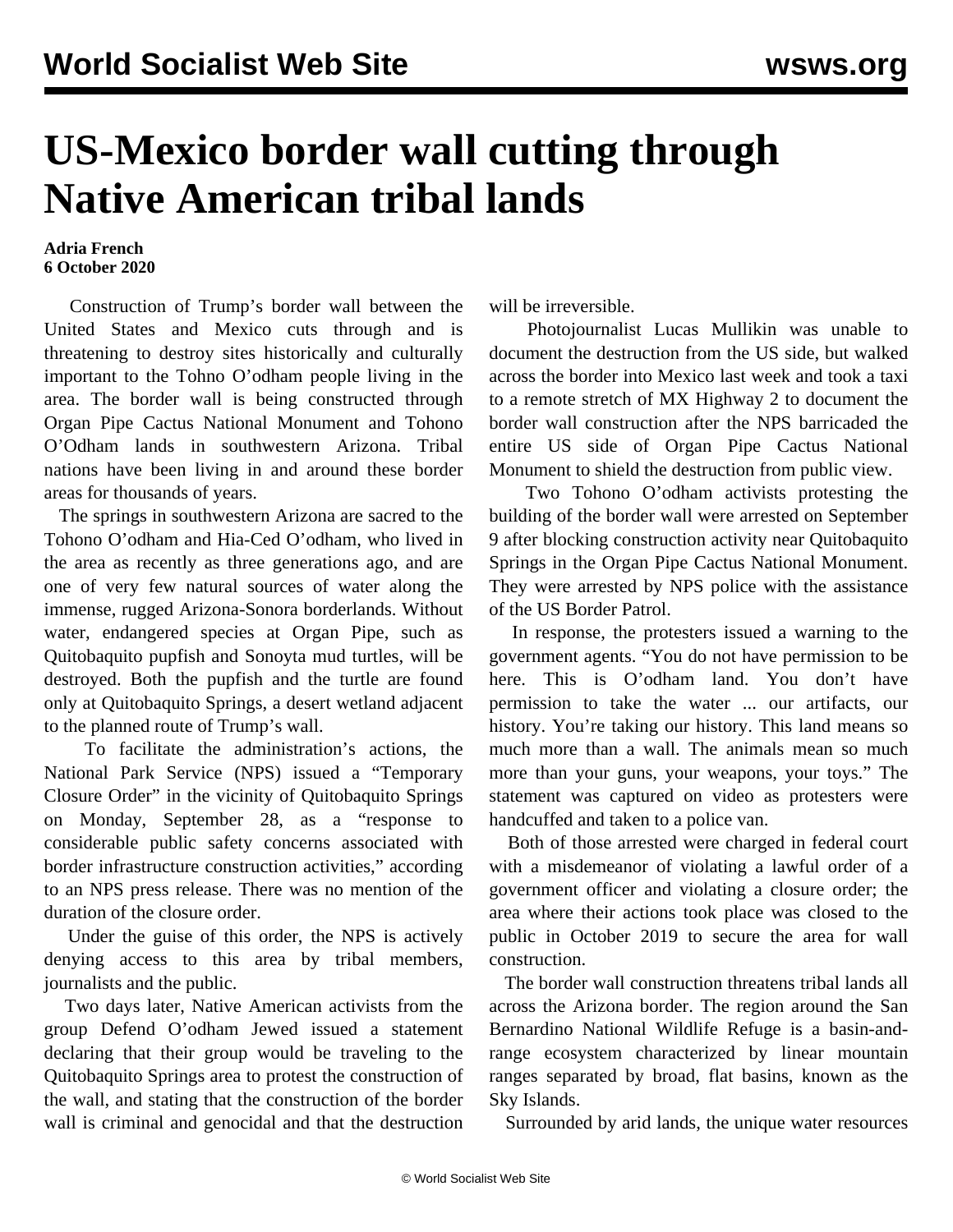## **US-Mexico border wall cutting through Native American tribal lands**

## **Adria French 6 October 2020**

 Construction of Trump's border wall between the United States and Mexico cuts through and is threatening to destroy sites historically and culturally important to the Tohno O'odham people living in the area. The border wall is being constructed through Organ Pipe Cactus National Monument and Tohono O'Odham lands in southwestern Arizona. Tribal nations have been living in and around these border areas for thousands of years.

 The springs in southwestern Arizona are sacred to the Tohono O'odham and Hia-Ced O'odham, who lived in the area as recently as three generations ago, and are one of very few natural sources of water along the immense, rugged Arizona-Sonora borderlands. Without water, endangered species at Organ Pipe, such as Quitobaquito pupfish and Sonoyta mud turtles, will be destroyed. Both the pupfish and the turtle are found only at Quitobaquito Springs, a desert wetland adjacent to the planned route of Trump's wall.

 To facilitate the administration's actions, the National Park Service (NPS) issued a "Temporary Closure Order" in the vicinity of Quitobaquito Springs on Monday, September 28, as a "response to considerable public safety concerns associated with border infrastructure construction activities," according to an NPS press release. There was no mention of the duration of the closure order.

 Under the guise of this order, the NPS is actively denying access to this area by tribal members, journalists and the public.

 Two days later, Native American activists from the group Defend O'odham Jewed issued a statement declaring that their group would be traveling to the Quitobaquito Springs area to protest the construction of the wall, and stating that the construction of the border wall is criminal and genocidal and that the destruction will be irreversible.

 Photojournalist Lucas Mullikin was unable to document the destruction from the US side, but walked across the border into Mexico last week and took a taxi to a remote stretch of MX Highway 2 to document the border wall construction after the NPS barricaded the entire US side of Organ Pipe Cactus National Monument to shield the destruction from public view.

 Two Tohono O'odham activists protesting the building of the border wall were arrested on September 9 after blocking construction activity near Quitobaquito Springs in the Organ Pipe Cactus National Monument. They were [arrested by NPS police](https://twitter.com/LaikenJordahl/status/1308438059181060096) with the assistance of the US Border Patrol.

 In response, the protesters issued a warning to the government agents. "You do not have permission to be here. This is O'odham land. You don't have permission to take the water ... our artifacts, our history. You're taking our history. This land means so much more than a wall. The animals mean so much more than your guns, your weapons, your toys." The statement was captured on video as protesters were handcuffed and taken to a police van.

 Both of those arrested were charged in federal court with a misdemeanor of violating a lawful order of a government officer and violating a closure order; the area where their actions took place was closed to the public in October 2019 to secure the area for wall construction.

 The border wall construction threatens tribal lands all across the Arizona border. The region around the San Bernardino National Wildlife Refuge is a basin-andrange ecosystem characterized by linear mountain ranges separated by broad, flat basins, known as the Sky Islands.

Surrounded by arid lands, the unique water resources